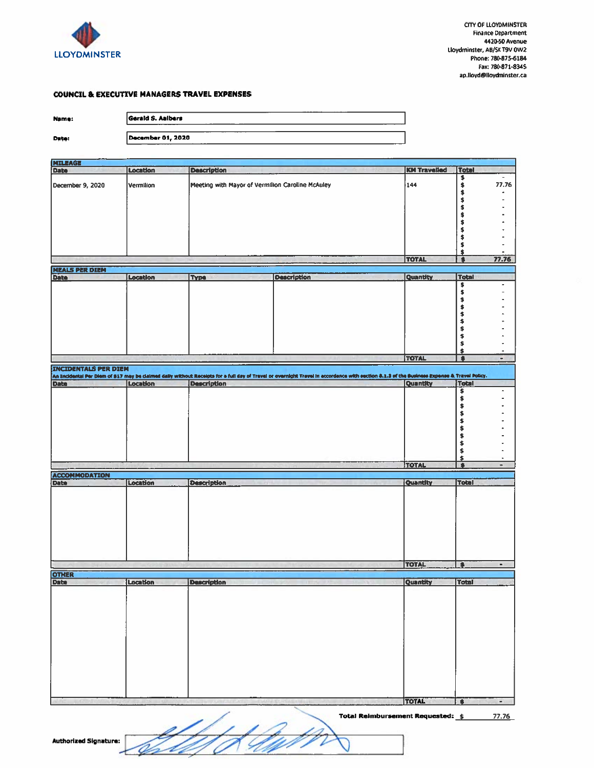

## **COUNCIL & EXECUTIVE MANAGERS TRAVEL EXPENSES**

| ı<br><br>ı<br>-04 |
|-------------------|
|-------------------|

Date:

| Gerald S. Aalbers                   |     |
|-------------------------------------|-----|
|                                     |     |
| December 01, 2020<br>____<br>______ | - - |

| <b>KM Travelled</b><br>Total<br>Location<br><b>Description</b><br>Date<br>きききききききき<br>$\overline{\phantom{a}}$<br>77.76<br>144<br>Meeting with Mayor of Vermilion Caroline McAuley<br>Vermilion<br>December 9, 2020<br>$\ddot{\bullet}$<br>\$<br>\$<br><b>TOTAL</b><br>77.76<br>$\overline{\bullet}$<br><b>NEALS PER DIEN</b><br><b>Total</b><br>Date<br><b>Description</b><br>Quantity<br>Location<br><b>Type</b><br>\$<br>\$<br>キキキキキキ<br>\$<br>\$<br><b>TOTAL</b><br>۰<br>$\bullet$<br><b>INCIDENTALS PER DIEM</b><br>An Incidental Per Diem of \$17 may be claimed daily without Receipts for a full day of Travel or overnight Travel in accordance with esction 8.1.3 of the Sueiness Expense & Travel Policy.<br>Date<br>Quantity<br>Total<br>Location<br><b>Description</b><br>\$<br>٠<br>\$<br>事事事<br>\$<br>\$<br>\$<br>\$<br>\$<br><b>TOTAL</b><br>$\overline{\bullet}$<br>$\blacksquare$<br><b>ACCOMMODATION</b><br>Date<br>Location<br>Quantity<br><b>Total</b><br><b>Description</b><br><b>TOTAL</b><br>$\bullet$<br>$\blacksquare$<br><b>OTHER</b><br>Date<br>Location<br><b>Description</b><br>Quantity<br><b>Total</b><br>TOTAL<br>$\bullet$<br>٠ |                |  |  |  |
|-------------------------------------------------------------------------------------------------------------------------------------------------------------------------------------------------------------------------------------------------------------------------------------------------------------------------------------------------------------------------------------------------------------------------------------------------------------------------------------------------------------------------------------------------------------------------------------------------------------------------------------------------------------------------------------------------------------------------------------------------------------------------------------------------------------------------------------------------------------------------------------------------------------------------------------------------------------------------------------------------------------------------------------------------------------------------------------------------------------------------------------------------------------------|----------------|--|--|--|
|                                                                                                                                                                                                                                                                                                                                                                                                                                                                                                                                                                                                                                                                                                                                                                                                                                                                                                                                                                                                                                                                                                                                                                   | <b>MILEAGE</b> |  |  |  |
|                                                                                                                                                                                                                                                                                                                                                                                                                                                                                                                                                                                                                                                                                                                                                                                                                                                                                                                                                                                                                                                                                                                                                                   |                |  |  |  |
|                                                                                                                                                                                                                                                                                                                                                                                                                                                                                                                                                                                                                                                                                                                                                                                                                                                                                                                                                                                                                                                                                                                                                                   |                |  |  |  |
|                                                                                                                                                                                                                                                                                                                                                                                                                                                                                                                                                                                                                                                                                                                                                                                                                                                                                                                                                                                                                                                                                                                                                                   |                |  |  |  |
|                                                                                                                                                                                                                                                                                                                                                                                                                                                                                                                                                                                                                                                                                                                                                                                                                                                                                                                                                                                                                                                                                                                                                                   |                |  |  |  |
|                                                                                                                                                                                                                                                                                                                                                                                                                                                                                                                                                                                                                                                                                                                                                                                                                                                                                                                                                                                                                                                                                                                                                                   |                |  |  |  |
|                                                                                                                                                                                                                                                                                                                                                                                                                                                                                                                                                                                                                                                                                                                                                                                                                                                                                                                                                                                                                                                                                                                                                                   |                |  |  |  |
|                                                                                                                                                                                                                                                                                                                                                                                                                                                                                                                                                                                                                                                                                                                                                                                                                                                                                                                                                                                                                                                                                                                                                                   |                |  |  |  |
|                                                                                                                                                                                                                                                                                                                                                                                                                                                                                                                                                                                                                                                                                                                                                                                                                                                                                                                                                                                                                                                                                                                                                                   |                |  |  |  |
|                                                                                                                                                                                                                                                                                                                                                                                                                                                                                                                                                                                                                                                                                                                                                                                                                                                                                                                                                                                                                                                                                                                                                                   |                |  |  |  |
|                                                                                                                                                                                                                                                                                                                                                                                                                                                                                                                                                                                                                                                                                                                                                                                                                                                                                                                                                                                                                                                                                                                                                                   |                |  |  |  |
|                                                                                                                                                                                                                                                                                                                                                                                                                                                                                                                                                                                                                                                                                                                                                                                                                                                                                                                                                                                                                                                                                                                                                                   |                |  |  |  |
|                                                                                                                                                                                                                                                                                                                                                                                                                                                                                                                                                                                                                                                                                                                                                                                                                                                                                                                                                                                                                                                                                                                                                                   |                |  |  |  |
|                                                                                                                                                                                                                                                                                                                                                                                                                                                                                                                                                                                                                                                                                                                                                                                                                                                                                                                                                                                                                                                                                                                                                                   |                |  |  |  |
|                                                                                                                                                                                                                                                                                                                                                                                                                                                                                                                                                                                                                                                                                                                                                                                                                                                                                                                                                                                                                                                                                                                                                                   |                |  |  |  |
|                                                                                                                                                                                                                                                                                                                                                                                                                                                                                                                                                                                                                                                                                                                                                                                                                                                                                                                                                                                                                                                                                                                                                                   |                |  |  |  |
|                                                                                                                                                                                                                                                                                                                                                                                                                                                                                                                                                                                                                                                                                                                                                                                                                                                                                                                                                                                                                                                                                                                                                                   |                |  |  |  |
|                                                                                                                                                                                                                                                                                                                                                                                                                                                                                                                                                                                                                                                                                                                                                                                                                                                                                                                                                                                                                                                                                                                                                                   |                |  |  |  |
|                                                                                                                                                                                                                                                                                                                                                                                                                                                                                                                                                                                                                                                                                                                                                                                                                                                                                                                                                                                                                                                                                                                                                                   |                |  |  |  |
|                                                                                                                                                                                                                                                                                                                                                                                                                                                                                                                                                                                                                                                                                                                                                                                                                                                                                                                                                                                                                                                                                                                                                                   |                |  |  |  |
|                                                                                                                                                                                                                                                                                                                                                                                                                                                                                                                                                                                                                                                                                                                                                                                                                                                                                                                                                                                                                                                                                                                                                                   |                |  |  |  |
|                                                                                                                                                                                                                                                                                                                                                                                                                                                                                                                                                                                                                                                                                                                                                                                                                                                                                                                                                                                                                                                                                                                                                                   |                |  |  |  |
|                                                                                                                                                                                                                                                                                                                                                                                                                                                                                                                                                                                                                                                                                                                                                                                                                                                                                                                                                                                                                                                                                                                                                                   |                |  |  |  |
|                                                                                                                                                                                                                                                                                                                                                                                                                                                                                                                                                                                                                                                                                                                                                                                                                                                                                                                                                                                                                                                                                                                                                                   |                |  |  |  |
|                                                                                                                                                                                                                                                                                                                                                                                                                                                                                                                                                                                                                                                                                                                                                                                                                                                                                                                                                                                                                                                                                                                                                                   |                |  |  |  |
|                                                                                                                                                                                                                                                                                                                                                                                                                                                                                                                                                                                                                                                                                                                                                                                                                                                                                                                                                                                                                                                                                                                                                                   |                |  |  |  |
|                                                                                                                                                                                                                                                                                                                                                                                                                                                                                                                                                                                                                                                                                                                                                                                                                                                                                                                                                                                                                                                                                                                                                                   |                |  |  |  |
|                                                                                                                                                                                                                                                                                                                                                                                                                                                                                                                                                                                                                                                                                                                                                                                                                                                                                                                                                                                                                                                                                                                                                                   |                |  |  |  |
|                                                                                                                                                                                                                                                                                                                                                                                                                                                                                                                                                                                                                                                                                                                                                                                                                                                                                                                                                                                                                                                                                                                                                                   |                |  |  |  |
|                                                                                                                                                                                                                                                                                                                                                                                                                                                                                                                                                                                                                                                                                                                                                                                                                                                                                                                                                                                                                                                                                                                                                                   |                |  |  |  |
|                                                                                                                                                                                                                                                                                                                                                                                                                                                                                                                                                                                                                                                                                                                                                                                                                                                                                                                                                                                                                                                                                                                                                                   |                |  |  |  |
|                                                                                                                                                                                                                                                                                                                                                                                                                                                                                                                                                                                                                                                                                                                                                                                                                                                                                                                                                                                                                                                                                                                                                                   |                |  |  |  |
|                                                                                                                                                                                                                                                                                                                                                                                                                                                                                                                                                                                                                                                                                                                                                                                                                                                                                                                                                                                                                                                                                                                                                                   |                |  |  |  |
|                                                                                                                                                                                                                                                                                                                                                                                                                                                                                                                                                                                                                                                                                                                                                                                                                                                                                                                                                                                                                                                                                                                                                                   |                |  |  |  |
|                                                                                                                                                                                                                                                                                                                                                                                                                                                                                                                                                                                                                                                                                                                                                                                                                                                                                                                                                                                                                                                                                                                                                                   |                |  |  |  |
|                                                                                                                                                                                                                                                                                                                                                                                                                                                                                                                                                                                                                                                                                                                                                                                                                                                                                                                                                                                                                                                                                                                                                                   |                |  |  |  |
|                                                                                                                                                                                                                                                                                                                                                                                                                                                                                                                                                                                                                                                                                                                                                                                                                                                                                                                                                                                                                                                                                                                                                                   |                |  |  |  |
|                                                                                                                                                                                                                                                                                                                                                                                                                                                                                                                                                                                                                                                                                                                                                                                                                                                                                                                                                                                                                                                                                                                                                                   |                |  |  |  |
|                                                                                                                                                                                                                                                                                                                                                                                                                                                                                                                                                                                                                                                                                                                                                                                                                                                                                                                                                                                                                                                                                                                                                                   |                |  |  |  |
|                                                                                                                                                                                                                                                                                                                                                                                                                                                                                                                                                                                                                                                                                                                                                                                                                                                                                                                                                                                                                                                                                                                                                                   |                |  |  |  |
|                                                                                                                                                                                                                                                                                                                                                                                                                                                                                                                                                                                                                                                                                                                                                                                                                                                                                                                                                                                                                                                                                                                                                                   |                |  |  |  |
|                                                                                                                                                                                                                                                                                                                                                                                                                                                                                                                                                                                                                                                                                                                                                                                                                                                                                                                                                                                                                                                                                                                                                                   |                |  |  |  |
|                                                                                                                                                                                                                                                                                                                                                                                                                                                                                                                                                                                                                                                                                                                                                                                                                                                                                                                                                                                                                                                                                                                                                                   |                |  |  |  |
|                                                                                                                                                                                                                                                                                                                                                                                                                                                                                                                                                                                                                                                                                                                                                                                                                                                                                                                                                                                                                                                                                                                                                                   |                |  |  |  |
|                                                                                                                                                                                                                                                                                                                                                                                                                                                                                                                                                                                                                                                                                                                                                                                                                                                                                                                                                                                                                                                                                                                                                                   |                |  |  |  |
|                                                                                                                                                                                                                                                                                                                                                                                                                                                                                                                                                                                                                                                                                                                                                                                                                                                                                                                                                                                                                                                                                                                                                                   |                |  |  |  |
|                                                                                                                                                                                                                                                                                                                                                                                                                                                                                                                                                                                                                                                                                                                                                                                                                                                                                                                                                                                                                                                                                                                                                                   |                |  |  |  |
|                                                                                                                                                                                                                                                                                                                                                                                                                                                                                                                                                                                                                                                                                                                                                                                                                                                                                                                                                                                                                                                                                                                                                                   |                |  |  |  |
|                                                                                                                                                                                                                                                                                                                                                                                                                                                                                                                                                                                                                                                                                                                                                                                                                                                                                                                                                                                                                                                                                                                                                                   |                |  |  |  |
|                                                                                                                                                                                                                                                                                                                                                                                                                                                                                                                                                                                                                                                                                                                                                                                                                                                                                                                                                                                                                                                                                                                                                                   |                |  |  |  |
|                                                                                                                                                                                                                                                                                                                                                                                                                                                                                                                                                                                                                                                                                                                                                                                                                                                                                                                                                                                                                                                                                                                                                                   |                |  |  |  |
|                                                                                                                                                                                                                                                                                                                                                                                                                                                                                                                                                                                                                                                                                                                                                                                                                                                                                                                                                                                                                                                                                                                                                                   |                |  |  |  |
|                                                                                                                                                                                                                                                                                                                                                                                                                                                                                                                                                                                                                                                                                                                                                                                                                                                                                                                                                                                                                                                                                                                                                                   |                |  |  |  |
|                                                                                                                                                                                                                                                                                                                                                                                                                                                                                                                                                                                                                                                                                                                                                                                                                                                                                                                                                                                                                                                                                                                                                                   |                |  |  |  |
|                                                                                                                                                                                                                                                                                                                                                                                                                                                                                                                                                                                                                                                                                                                                                                                                                                                                                                                                                                                                                                                                                                                                                                   |                |  |  |  |
|                                                                                                                                                                                                                                                                                                                                                                                                                                                                                                                                                                                                                                                                                                                                                                                                                                                                                                                                                                                                                                                                                                                                                                   |                |  |  |  |
|                                                                                                                                                                                                                                                                                                                                                                                                                                                                                                                                                                                                                                                                                                                                                                                                                                                                                                                                                                                                                                                                                                                                                                   |                |  |  |  |
|                                                                                                                                                                                                                                                                                                                                                                                                                                                                                                                                                                                                                                                                                                                                                                                                                                                                                                                                                                                                                                                                                                                                                                   |                |  |  |  |
|                                                                                                                                                                                                                                                                                                                                                                                                                                                                                                                                                                                                                                                                                                                                                                                                                                                                                                                                                                                                                                                                                                                                                                   |                |  |  |  |
|                                                                                                                                                                                                                                                                                                                                                                                                                                                                                                                                                                                                                                                                                                                                                                                                                                                                                                                                                                                                                                                                                                                                                                   |                |  |  |  |
|                                                                                                                                                                                                                                                                                                                                                                                                                                                                                                                                                                                                                                                                                                                                                                                                                                                                                                                                                                                                                                                                                                                                                                   |                |  |  |  |
|                                                                                                                                                                                                                                                                                                                                                                                                                                                                                                                                                                                                                                                                                                                                                                                                                                                                                                                                                                                                                                                                                                                                                                   |                |  |  |  |
|                                                                                                                                                                                                                                                                                                                                                                                                                                                                                                                                                                                                                                                                                                                                                                                                                                                                                                                                                                                                                                                                                                                                                                   |                |  |  |  |
|                                                                                                                                                                                                                                                                                                                                                                                                                                                                                                                                                                                                                                                                                                                                                                                                                                                                                                                                                                                                                                                                                                                                                                   |                |  |  |  |
|                                                                                                                                                                                                                                                                                                                                                                                                                                                                                                                                                                                                                                                                                                                                                                                                                                                                                                                                                                                                                                                                                                                                                                   |                |  |  |  |
|                                                                                                                                                                                                                                                                                                                                                                                                                                                                                                                                                                                                                                                                                                                                                                                                                                                                                                                                                                                                                                                                                                                                                                   |                |  |  |  |
|                                                                                                                                                                                                                                                                                                                                                                                                                                                                                                                                                                                                                                                                                                                                                                                                                                                                                                                                                                                                                                                                                                                                                                   |                |  |  |  |
|                                                                                                                                                                                                                                                                                                                                                                                                                                                                                                                                                                                                                                                                                                                                                                                                                                                                                                                                                                                                                                                                                                                                                                   |                |  |  |  |
|                                                                                                                                                                                                                                                                                                                                                                                                                                                                                                                                                                                                                                                                                                                                                                                                                                                                                                                                                                                                                                                                                                                                                                   |                |  |  |  |